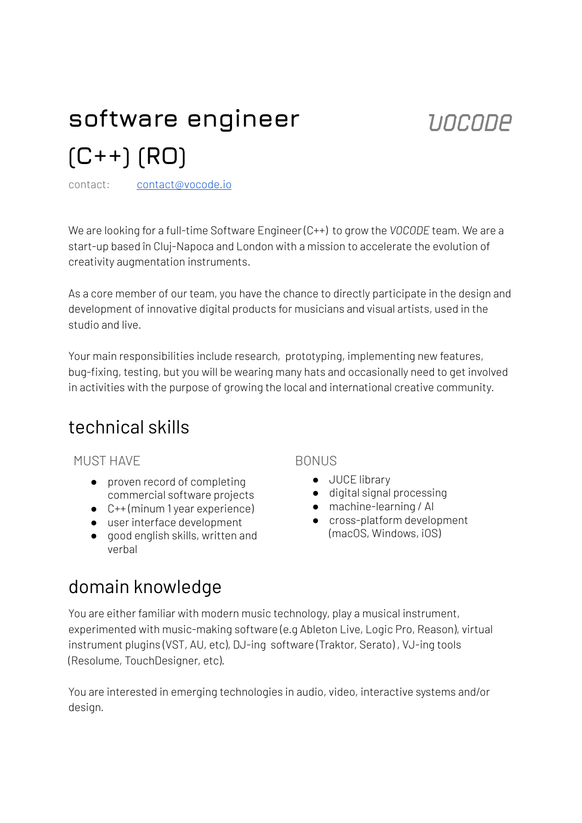# **software engineer (C++) (RO)**

contact: contact@vocode.io

We are looking for a full-time Software Engineer (C++) to grow the *VOCODE* team*.* We are a start-up based în Cluj-Napoca and London with a mission to accelerate the evolution of creativity augmentation instruments.

As a core member of our team, you have the chance to directly participate in the design and development of innovative digital products for musicians and visual artists, used in the studio and live.

Your main responsibilities include research, prototyping, implementing new features, bug-fixing, testing, but you will be wearing many hats and occasionally need to get involved in activities with the purpose of growing the local and international creative community.

### technical skills

MUST HAVE

- proven record of completing commercial software projects
- C++ (minum 1 year experience)
- user interface development
- good english skills, written and verbal

#### **BONUS**

- JUCE library
- digital signal processing
- machine-learning / Al
	- cross-platform development (macOS, Windows, iOS)

UOCODE

## domain knowledge

You are either familiar with modern music technology, play a musical instrument, experimented with music-making software (e.g Ableton Live, Logic Pro, Reason), virtual instrument plugins (VST, AU, etc), DJ-ing software (Traktor, Serato) , VJ-ing tools (Resolume, TouchDesigner, etc).

You are interested in emerging technologies in audio, video, interactive systems and/or design.